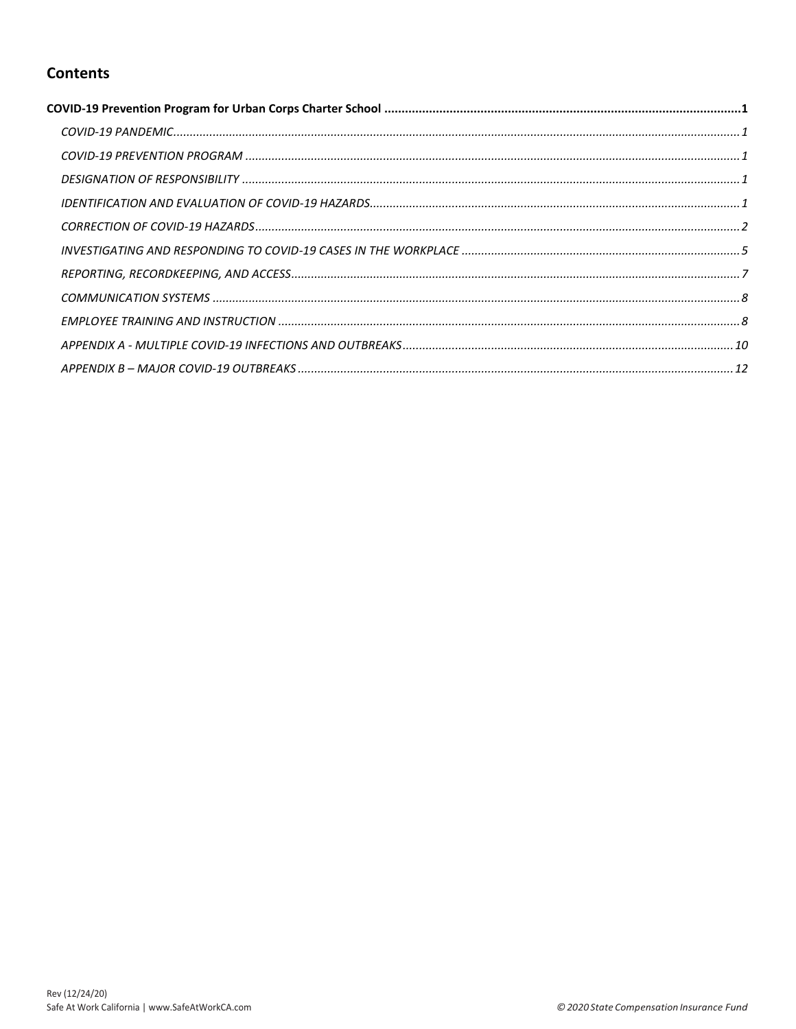# **Contents**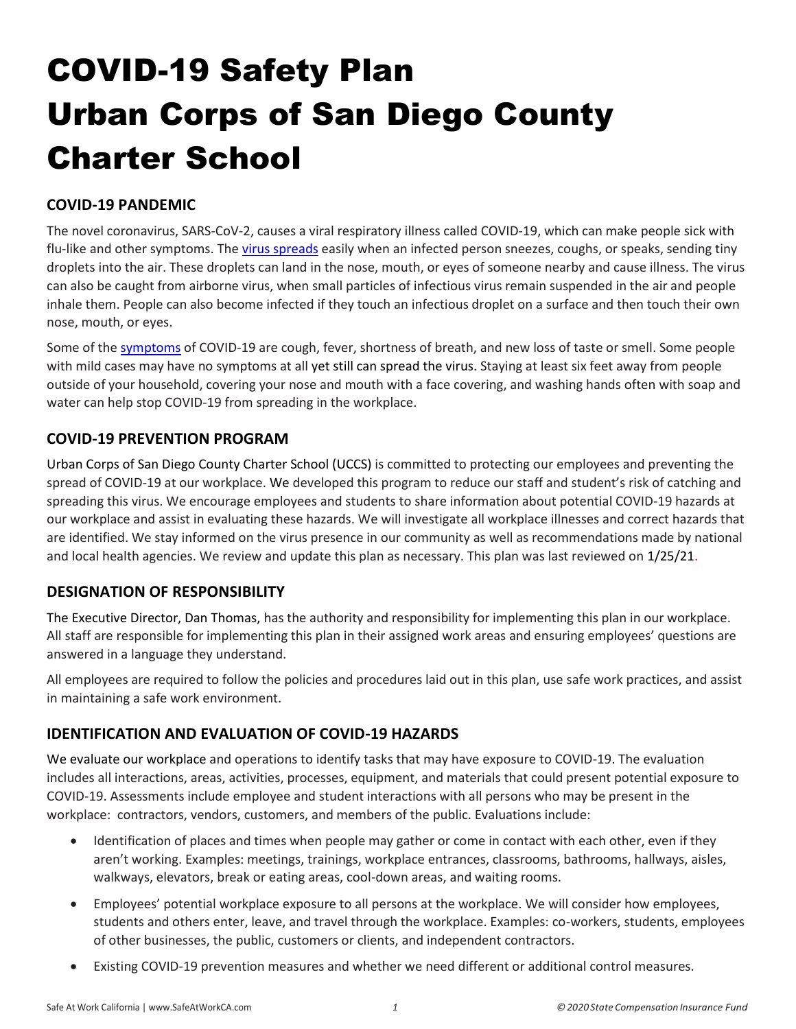# <span id="page-1-0"></span>COVID-19 Safety Plan Urban Corps of San Diego County Charter School

# <span id="page-1-1"></span>**COVID-19 PANDEMIC**

The novel coronavirus, SARS-CoV-2, causes a viral respiratory illness called COVID-19, which can make people sick with flu-like and other symptoms. The [virus spreads](https://www.cdc.gov/coronavirus/2019-ncov/prevent-getting-sick/prevention.html) easily when an infected person sneezes, coughs, or speaks, sending tiny droplets into the air. These droplets can land in the nose, mouth, or eyes of someone nearby and cause illness. The virus can also be caught from airborne virus, when small particles of infectious virus remain suspended in the air and people inhale them. People can also become infected if they touch an infectious droplet on a surface and then touch their own nose, mouth, or eyes.

Some of th[e symptoms](https://www.cdc.gov/coronavirus/2019-ncov/symptoms-testing/symptoms.html) of COVID-19 are cough, fever, shortness of breath, and new loss of taste or smell. Some people with mild cases may have no symptoms at all yet still can spread the virus. Staying at least six feet away from people outside of your household, covering your nose and mouth with a face covering, and washing hands often with soap and water can help stop COVID-19 from spreading in the workplace.

## <span id="page-1-2"></span>**COVID-19 PREVENTION PROGRAM**

Urban Corps of San Diego County Charter School (UCCS) is committed to protecting our employees and preventing the spread of COVID-19 at our workplace. We developed this program to reduce our staff and student's risk of catching and spreading this virus. We encourage employees and students to share information about potential COVID-19 hazards at our workplace and assist in evaluating these hazards. We will investigate all workplace illnesses and correct hazards that are identified. We stay informed on the virus presence in our community as well as recommendations made by national and local health agencies. We review and update this plan as necessary. This plan was last reviewed on 1/25/21.

## <span id="page-1-3"></span>**DESIGNATION OF RESPONSIBILITY**

The Executive Director, Dan Thomas, has the authority and responsibility for implementing this plan in our workplace. All staff are responsible for implementing this plan in their assigned work areas and ensuring employees' questions are answered in a language they understand.

All employees are required to follow the policies and procedures laid out in this plan, use safe work practices, and assist in maintaining a safe work environment.

## <span id="page-1-4"></span>**IDENTIFICATION AND EVALUATION OF COVID-19 HAZARDS**

We evaluate our workplace and operations to identify tasks that may have exposure to COVID-19. The evaluation includes all interactions, areas, activities, processes, equipment, and materials that could present potential exposure to COVID-19. Assessments include employee and student interactions with all persons who may be present in the workplace: contractors, vendors, customers, and members of the public. Evaluations include:

- Identification of places and times when people may gather or come in contact with each other, even if they aren't working. Examples: meetings, trainings, workplace entrances, classrooms, bathrooms, hallways, aisles, walkways, elevators, break or eating areas, cool-down areas, and waiting rooms.
- Employees' potential workplace exposure to all persons at the workplace. We will consider how employees, students and others enter, leave, and travel through the workplace. Examples: co-workers, students, employees of other businesses, the public, customers or clients, and independent contractors.
- Existing COVID-19 prevention measures and whether we need different or additional control measures.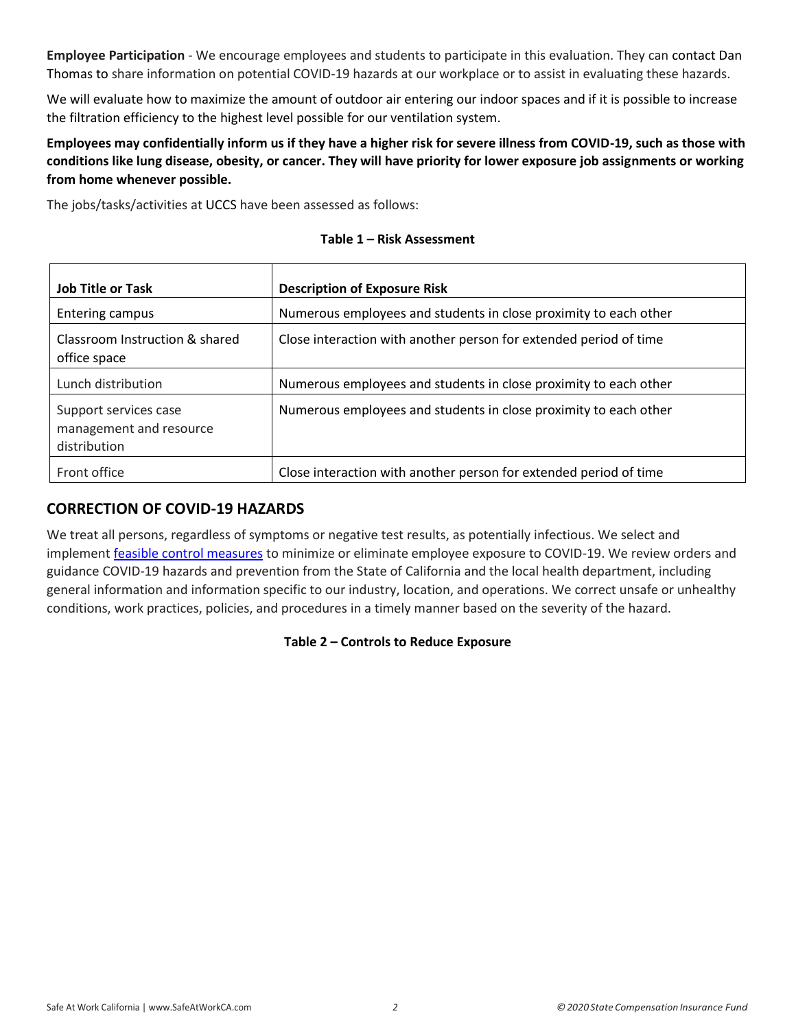**Employee Participation** - We encourage employees and students to participate in this evaluation. They can contact Dan Thomas to share information on potential COVID-19 hazards at our workplace or to assist in evaluating these hazards.

We will evaluate how to maximize the amount of outdoor air entering our indoor spaces and if it is possible to increase the filtration efficiency to the highest level possible for our ventilation system.

**Employees may confidentially inform us if they have a higher risk for severe illness from COVID-19, such as those with conditions like lung disease, obesity, or cancer. They will have priority for lower exposure job assignments or working from home whenever possible.** 

The jobs/tasks/activities at UCCS have been assessed as follows:

| <b>Job Title or Task</b>                                         | <b>Description of Exposure Risk</b>                               |
|------------------------------------------------------------------|-------------------------------------------------------------------|
| Entering campus                                                  | Numerous employees and students in close proximity to each other  |
| Classroom Instruction & shared<br>office space                   | Close interaction with another person for extended period of time |
| Lunch distribution                                               | Numerous employees and students in close proximity to each other  |
| Support services case<br>management and resource<br>distribution | Numerous employees and students in close proximity to each other  |
| Front office                                                     | Close interaction with another person for extended period of time |

#### **Table 1 – Risk Assessment**

## <span id="page-2-0"></span>**CORRECTION OF COVID-19 HAZARDS**

We treat all persons, regardless of symptoms or negative test results, as potentially infectious. We select and implement [feasible control measures](https://www.safeatworkca.com/safety-articles/control-measures-for-covid-19/) to minimize or eliminate employee exposure to COVID-19. We review orders and guidance COVID-19 hazards and prevention from the State of California and the local health department, including general information and information specific to our industry, location, and operations. We correct unsafe or unhealthy conditions, work practices, policies, and procedures in a timely manner based on the severity of the hazard.

## **Table 2 – Controls to Reduce Exposure**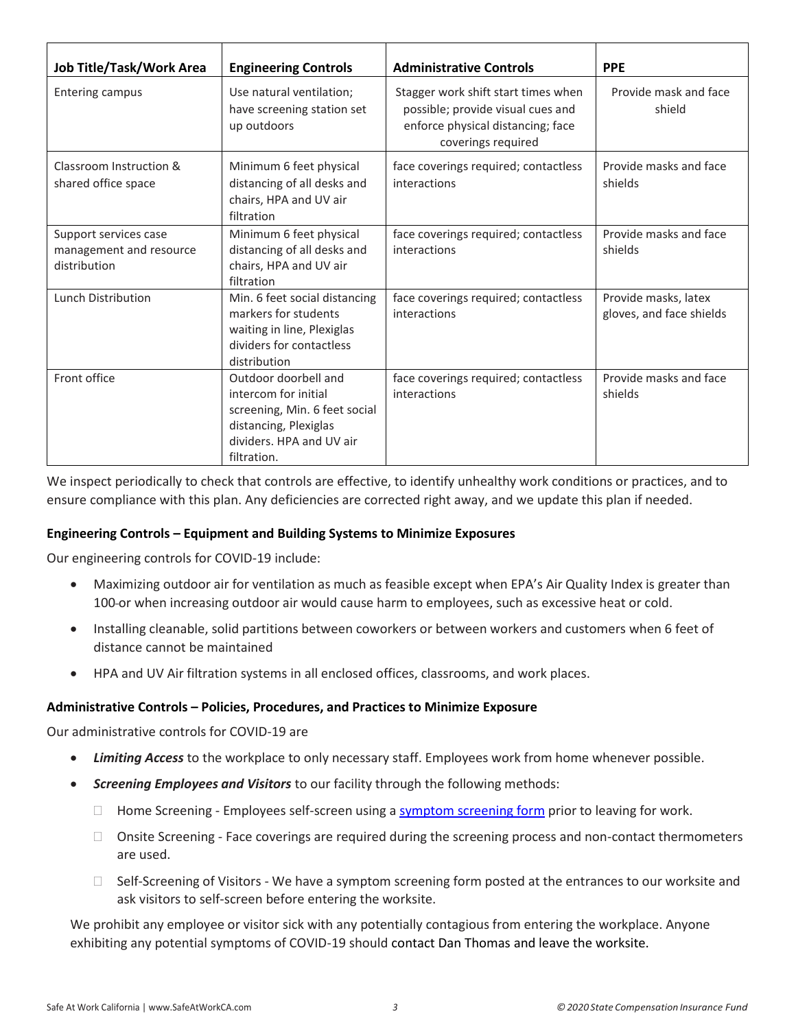| Job Title/Task/Work Area                                         | <b>Engineering Controls</b>                                                                                                                       | <b>Administrative Controls</b>                                                                                                      | <b>PPE</b>                                       |
|------------------------------------------------------------------|---------------------------------------------------------------------------------------------------------------------------------------------------|-------------------------------------------------------------------------------------------------------------------------------------|--------------------------------------------------|
| <b>Entering campus</b>                                           | Use natural ventilation;<br>have screening station set<br>up outdoors                                                                             | Stagger work shift start times when<br>possible; provide visual cues and<br>enforce physical distancing; face<br>coverings required | Provide mask and face<br>shield                  |
| Classroom Instruction &<br>shared office space                   | Minimum 6 feet physical<br>distancing of all desks and<br>chairs, HPA and UV air<br>filtration                                                    | face coverings required; contactless<br>interactions                                                                                | Provide masks and face<br>shields                |
| Support services case<br>management and resource<br>distribution | Minimum 6 feet physical<br>distancing of all desks and<br>chairs, HPA and UV air<br>filtration                                                    | face coverings required; contactless<br>interactions                                                                                | Provide masks and face<br>shields                |
| Lunch Distribution                                               | Min. 6 feet social distancing<br>markers for students<br>waiting in line, Plexiglas<br>dividers for contactless<br>distribution                   | face coverings required; contactless<br>interactions                                                                                | Provide masks, latex<br>gloves, and face shields |
| Front office                                                     | Outdoor doorbell and<br>intercom for initial<br>screening, Min. 6 feet social<br>distancing, Plexiglas<br>dividers. HPA and UV air<br>filtration. | face coverings required; contactless<br>interactions                                                                                | Provide masks and face<br>shields                |

We inspect periodically to check that controls are effective, to identify unhealthy work conditions or practices, and to ensure compliance with this plan. Any deficiencies are corrected right away, and we update this plan if needed.

#### **Engineering Controls – Equipment and Building Systems to Minimize Exposures**

Our engineering controls for COVID-19 include:

- Maximizing outdoor air for ventilation as much as feasible except when EPA's Air Quality Index is greater than 100-or when increasing outdoor air would cause harm to employees, such as excessive heat or cold.
- Installing cleanable, solid partitions between coworkers or between workers and customers when 6 feet of distance cannot be maintained
- HPA and UV Air filtration systems in all enclosed offices, classrooms, and work places.

#### **Administrative Controls – Policies, Procedures, and Practices to Minimize Exposure**

Our administrative controls for COVID-19 are

- *Limiting Access* to the workplace to only necessary staff. Employees work from home whenever possible.
- *Screening Employees and Visitors* to our facility through the following methods:
	- $\Box$  Home Screening Employees self-screen using a [symptom screening form](https://www.safeatworkca.com/globalassets/safety-resource-library/publications/covid-19-symptom-screening-procedures.docx) prior to leaving for work.
	- □ Onsite Screening Face coverings are required during the screening process and non-contact thermometers are used.
	- $\Box$  Self-Screening of Visitors We have a symptom screening form posted at the entrances to our worksite and ask visitors to self-screen before entering the worksite.

We prohibit any employee or visitor sick with any potentially contagious from entering the workplace. Anyone exhibiting any potential symptoms of COVID-19 should contact Dan Thomas and leave the worksite.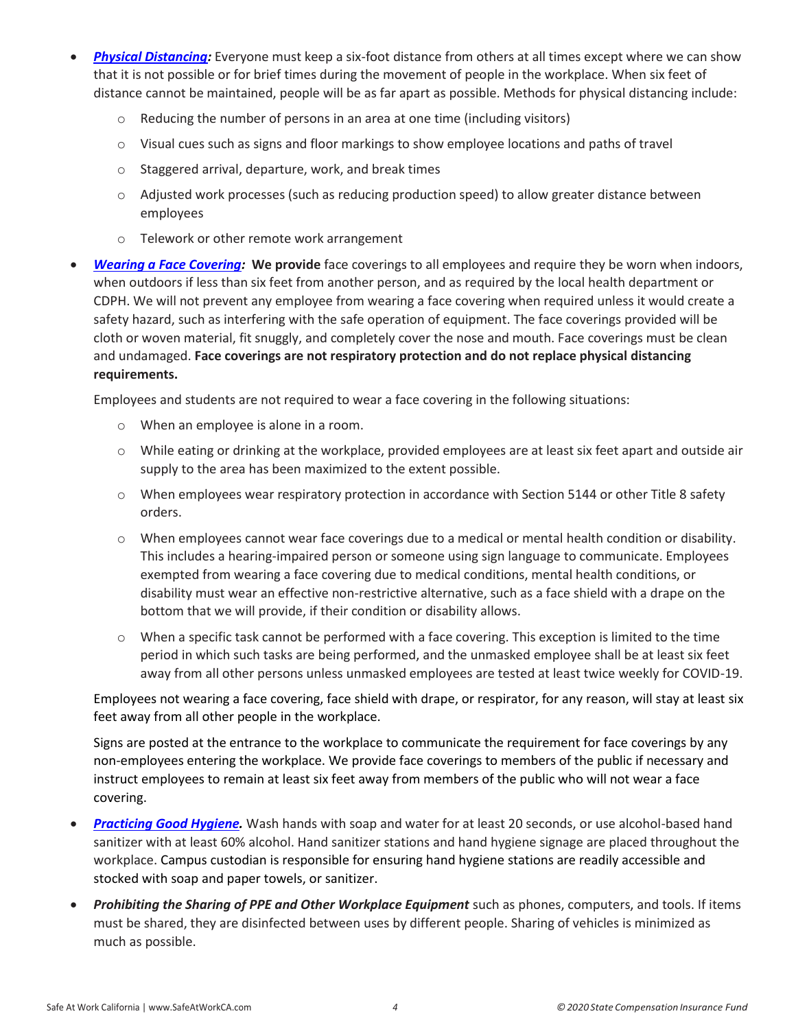- *[Physical Distancing:](https://www.cdc.gov/coronavirus/2019-ncov/prevent-getting-sick/social-distancing.html)* Everyone must keep a six-foot distance from others at all times except where we can show that it is not possible or for brief times during the movement of people in the workplace. When six feet of distance cannot be maintained, people will be as far apart as possible. Methods for physical distancing include:
	- o Reducing the number of persons in an area at one time (including visitors)
	- $\circ$  Visual cues such as signs and floor markings to show employee locations and paths of travel
	- o Staggered arrival, departure, work, and break times
	- $\circ$  Adjusted work processes (such as reducing production speed) to allow greater distance between employees
	- o Telework or other remote work arrangement
- *[Wearing a Face Covering:](https://covid19.ca.gov/masks-and-ppe/)* **We provide** face coverings to all employees and require they be worn when indoors, when outdoors if less than six feet from another person, and as required by the local health department or CDPH. We will not prevent any employee from wearing a face covering when required unless it would create a safety hazard, such as interfering with the safe operation of equipment. The face coverings provided will be cloth or woven material, fit snuggly, and completely cover the nose and mouth. Face coverings must be clean and undamaged. **Face coverings are not respiratory protection and do not replace physical distancing requirements.**

Employees and students are not required to wear a face covering in the following situations:

- o When an employee is alone in a room.
- o While eating or drinking at the workplace, provided employees are at least six feet apart and outside air supply to the area has been maximized to the extent possible.
- $\circ$  When employees wear respiratory protection in accordance with Section 5144 or other Title 8 safety orders.
- $\circ$  When employees cannot wear face coverings due to a medical or mental health condition or disability. This includes a hearing-impaired person or someone using sign language to communicate. Employees exempted from wearing a face covering due to medical conditions, mental health conditions, or disability must wear an effective non-restrictive alternative, such as a face shield with a drape on the bottom that we will provide, if their condition or disability allows.
- $\circ$  When a specific task cannot be performed with a face covering. This exception is limited to the time period in which such tasks are being performed, and the unmasked employee shall be at least six feet away from all other persons unless unmasked employees are tested at least twice weekly for COVID-19.

Employees not wearing a face covering, face shield with drape, or respirator, for any reason, will stay at least six feet away from all other people in the workplace.

Signs are posted at the entrance to the workplace to communicate the requirement for face coverings by any non-employees entering the workplace. We provide face coverings to members of the public if necessary and instruct employees to remain at least six feet away from members of the public who will not wear a face covering.

- *[Practicing Good Hygiene.](https://www.cdc.gov/handwashing/index.html)* Wash hands with soap and water for at least 20 seconds, or use alcohol-based hand sanitizer with at least 60% alcohol. Hand sanitizer stations and hand hygiene signage are placed throughout the workplace. Campus custodian is responsible for ensuring hand hygiene stations are readily accessible and stocked with soap and paper towels, or sanitizer.
- *Prohibiting the Sharing of PPE and Other Workplace Equipment* such as phones, computers, and tools. If items must be shared, they are disinfected between uses by different people. Sharing of vehicles is minimized as much as possible.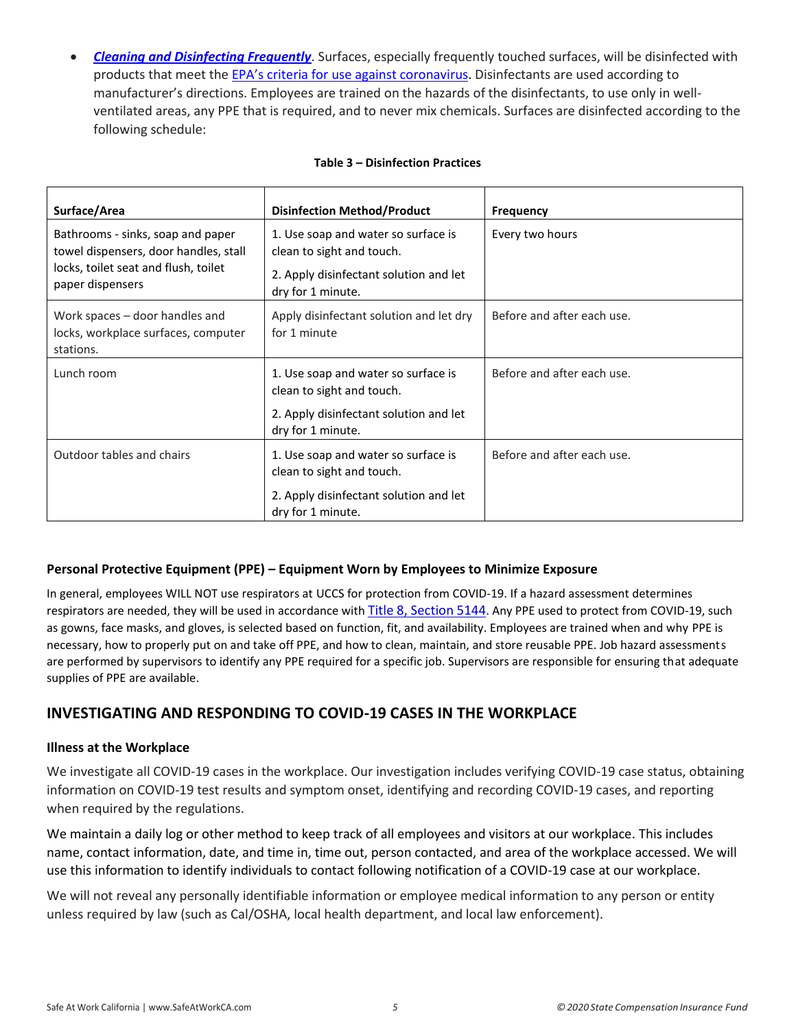*[Cleaning and Disinfecting Frequently](https://www.cdc.gov/coronavirus/2019-ncov/community/disinfecting-building-facility.html)*. Surfaces, especially frequently touched surfaces, will be disinfected with products that meet the EPA's criteria for [use against coronavirus.](https://www.epa.gov/pesticide-registration/list-n-disinfectants-coronavirus-covid-19) Disinfectants are used according to manufacturer's directions. Employees are trained on the hazards of the disinfectants, to use only in wellventilated areas, any PPE that is required, and to never mix chemicals. Surfaces are disinfected according to the following schedule:

| Surface/Area                                                                                                                           | <b>Disinfection Method/Product</b>                                                                                              | <b>Frequency</b>           |
|----------------------------------------------------------------------------------------------------------------------------------------|---------------------------------------------------------------------------------------------------------------------------------|----------------------------|
| Bathrooms - sinks, soap and paper<br>towel dispensers, door handles, stall<br>locks, toilet seat and flush, toilet<br>paper dispensers | 1. Use soap and water so surface is<br>clean to sight and touch.<br>2. Apply disinfectant solution and let<br>dry for 1 minute. | Every two hours            |
| Work spaces – door handles and<br>locks, workplace surfaces, computer<br>stations.                                                     | Apply disinfectant solution and let dry<br>for 1 minute                                                                         | Before and after each use. |
| Lunch room                                                                                                                             | 1. Use soap and water so surface is<br>clean to sight and touch.<br>2. Apply disinfectant solution and let<br>dry for 1 minute. | Before and after each use. |
| Outdoor tables and chairs                                                                                                              | 1. Use soap and water so surface is<br>clean to sight and touch.<br>2. Apply disinfectant solution and let<br>dry for 1 minute. | Before and after each use. |

#### **Table 3 – Disinfection Practices**

#### **Personal Protective Equipment (PPE) – Equipment Worn by Employees to Minimize Exposure**

In general, employees WILL NOT use respirators at UCCS for protection from COVID-19. If a hazard assessment determines respirators are needed, they will be used in accordance with [Title 8, Section 5144](https://www.dir.ca.gov/title8/5144.html). Any PPE used to protect from COVID-19, such as gowns, face masks, and gloves, is selected based on function, fit, and availability. Employees are trained when and why PPE is necessary, how to properly put on and take off PPE, and how to clean, maintain, and store reusable PPE. Job hazard assessments are performed by supervisors to identify any PPE required for a specific job. Supervisors are responsible for ensuring that adequate supplies of PPE are available.

## <span id="page-5-0"></span>**INVESTIGATING AND RESPONDING TO COVID-19 CASES IN THE WORKPLACE**

#### **Illness at the Workplace**

We investigate all COVID-19 cases in the workplace. Our investigation includes verifying COVID-19 case status, obtaining information on COVID-19 test results and symptom onset, identifying and recording COVID-19 cases, and reporting when required by the regulations.

We maintain a daily log or other method to keep track of all employees and visitors at our workplace. This includes name, contact information, date, and time in, time out, person contacted, and area of the workplace accessed. We will use this information to identify individuals to contact following notification of a COVID-19 case at our workplace.

We will not reveal any personally identifiable information or employee medical information to any person or entity unless required by law (such as Cal/OSHA, local health department, and local law enforcement).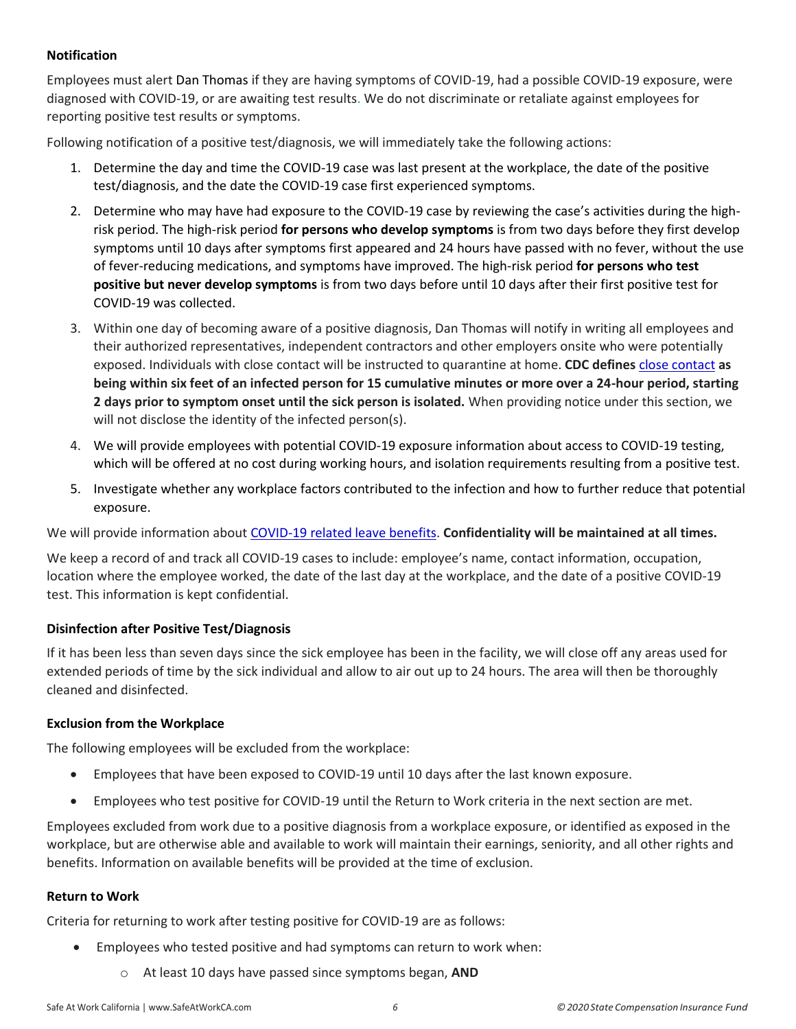#### **Notification**

Employees must alert Dan Thomas if they are having symptoms of COVID-19, had a possible COVID-19 exposure, were diagnosed with COVID-19, or are awaiting test results. We do not discriminate or retaliate against employees for reporting positive test results or symptoms.

Following notification of a positive test/diagnosis, we will immediately take the following actions:

- 1. Determine the day and time the COVID-19 case was last present at the workplace, the date of the positive test/diagnosis, and the date the COVID-19 case first experienced symptoms.
- 2. Determine who may have had exposure to the COVID-19 case by reviewing the case's activities during the highrisk period. The high-risk period **for persons who develop symptoms** is from two days before they first develop symptoms until 10 days after symptoms first appeared and 24 hours have passed with no fever, without the use of fever-reducing medications, and symptoms have improved. The high-risk period **for persons who test positive but never develop symptoms** is from two days before until 10 days after their first positive test for COVID-19 was collected.
- 3. Within one day of becoming aware of a positive diagnosis, Dan Thomas will notify in writing all employees and their authorized representatives, independent contractors and other employers onsite who were potentially exposed. Individuals with close contact will be instructed to quarantine at home. **CDC defines** [close contact](https://www.cdc.gov/coronavirus/2019-ncov/php/contact-tracing/contact-tracing-plan/appendix.html#contact) **as being within six feet of an infected person for 15 cumulative minutes or more over a 24-hour period, starting 2 days prior to symptom onset until the sick person is isolated.** When providing notice under this section, we will not disclose the identity of the infected person(s).
- 4. We will provide employees with potential COVID-19 exposure information about access to COVID-19 testing, which will be offered at no cost during working hours, and isolation requirements resulting from a positive test.
- 5. Investigate whether any workplace factors contributed to the infection and how to further reduce that potential exposure.

We will provide information about [COVID-19 related leave benefits.](https://www.dir.ca.gov/dlse/Comparison-COVID-19-Paid-Leave.html) **Confidentiality will be maintained at all times.** 

We keep a record of and track all COVID-19 cases to include: employee's name, contact information, occupation, location where the employee worked, the date of the last day at the workplace, and the date of a positive COVID-19 test. This information is kept confidential.

#### **Disinfection after Positive Test/Diagnosis**

If it has been less than seven days since the sick employee has been in the facility, we will close off any areas used for extended periods of time by the sick individual and allow to air out up to 24 hours. The area will then be thoroughly cleaned and disinfected.

#### **Exclusion from the Workplace**

The following employees will be excluded from the workplace:

- Employees that have been exposed to COVID-19 until 10 days after the last known exposure.
- Employees who test positive for COVID-19 until the Return to Work criteria in the next section are met.

Employees excluded from work due to a positive diagnosis from a workplace exposure, or identified as exposed in the workplace, but are otherwise able and available to work will maintain their earnings, seniority, and all other rights and benefits. Information on available benefits will be provided at the time of exclusion.

#### **Return to Work**

Criteria for returning to work after testing positive for COVID-19 are as follows:

- Employees who tested positive and had symptoms can return to work when:
	- o At least 10 days have passed since symptoms began, **AND**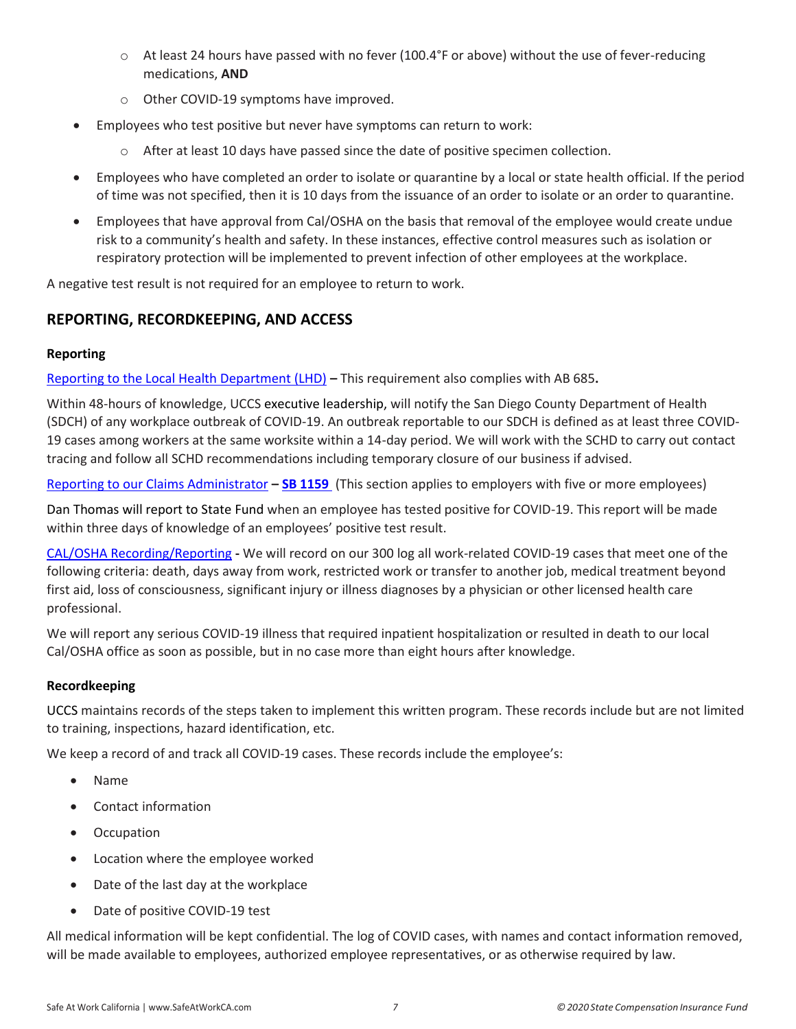- o At least 24 hours have passed with no fever (100.4°F or above) without the use of fever-reducing medications, **AND**
- o Other COVID-19 symptoms have improved.
- Employees who test positive but never have symptoms can return to work:
	- $\circ$  After at least 10 days have passed since the date of positive specimen collection.
- Employees who have completed an order to isolate or quarantine by a local or state health official. If the period of time was not specified, then it is 10 days from the issuance of an order to isolate or an order to quarantine.
- Employees that have approval from Cal/OSHA on the basis that removal of the employee would create undue risk to a community's health and safety. In these instances, effective control measures such as isolation or respiratory protection will be implemented to prevent infection of other employees at the workplace.

<span id="page-7-0"></span>A negative test result is not required for an employee to return to work.

# **REPORTING, RECORDKEEPING, AND ACCESS**

### **Reporting**

[Reporting to the Local Health Department \(LHD\)](https://www.cdph.ca.gov/Programs/CID/DCDC/Pages/COVID-19/Employer-Questions-about-AB-685.aspx) **–** This requirement also complies with AB 685**.** 

Within 48-hours of knowledge, UCCS executive leadership, will notify the San Diego County Department of Health (SDCH) of any workplace outbreak of COVID-19. An outbreak reportable to our SDCH is defined as at least three COVID-19 cases among workers at the same worksite within a 14-day period. We will work with the SCHD to carry out contact tracing and follow all SCHD recommendations including temporary closure of our business if advised.

[Reporting to our Claims Administrator](https://www.dir.ca.gov/dwc/Covid-19/FAQ-SB-1159.html#:~:text=SB%201159%20provides%20that%20the,employer%20may%20dispute%20that%20conclusion.) **– [SB 1159](https://www.statefundca.com/Home/StaticIndex?id=https://content.statefundca.com//employers/SB1159.asp)** (This section applies to employers with five or more employees)

Dan Thomas will report to State Fund when an employee has tested positive for COVID-19. This report will be made within three days of knowledge of an employees' positive test result.

[CAL/OSHA Recording/Reporting](https://dir.ca.gov/dosh/coronavirus/Reporting-Requirements-COVID-19.html) **-** We will record on our 300 log all work-related COVID-19 cases that meet one of the following criteria: death, days away from work, restricted work or transfer to another job, medical treatment beyond first aid, loss of consciousness, significant injury or illness diagnoses by a physician or other licensed health care professional.

We will report any serious COVID-19 illness that required inpatient hospitalization or resulted in death to our local Cal/OSHA office as soon as possible, but in no case more than eight hours after knowledge.

#### **Recordkeeping**

UCCS maintains records of the steps taken to implement this written program. These records include but are not limited to training, inspections, hazard identification, etc.

We keep a record of and track all COVID-19 cases. These records include the employee's:

- Name
- Contact information
- Occupation
- Location where the employee worked
- Date of the last day at the workplace
- Date of positive COVID-19 test

All medical information will be kept confidential. The log of COVID cases, with names and contact information removed, will be made available to employees, authorized employee representatives, or as otherwise required by law.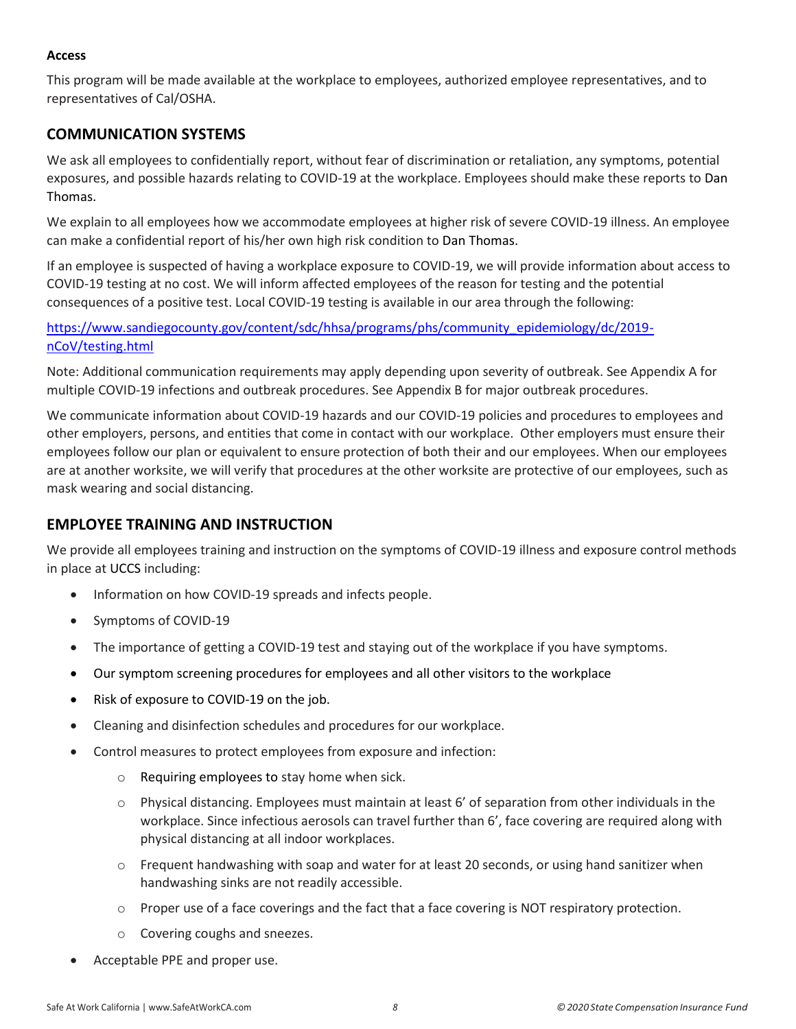#### **Access**

This program will be made available at the workplace to employees, authorized employee representatives, and to representatives of Cal/OSHA.

## <span id="page-8-0"></span>**COMMUNICATION SYSTEMS**

We ask all employees to confidentially report, without fear of discrimination or retaliation, any symptoms, potential exposures, and possible hazards relating to COVID-19 at the workplace. Employees should make these reports to Dan Thomas.

We explain to all employees how we accommodate employees at higher risk of severe COVID-19 illness. An employee can make a confidential report of his/her own high risk condition to Dan Thomas.

If an employee is suspected of having a workplace exposure to COVID-19, we will provide information about access to COVID-19 testing at no cost. We will inform affected employees of the reason for testing and the potential consequences of a positive test. Local COVID-19 testing is available in our area through the following:

## [https://www.sandiegocounty.gov/content/sdc/hhsa/programs/phs/community\\_epidemiology/dc/2019](https://www.sandiegocounty.gov/content/sdc/hhsa/programs/phs/community_epidemiology/dc/2019-nCoV/testing.html) [nCoV/testing.html](https://www.sandiegocounty.gov/content/sdc/hhsa/programs/phs/community_epidemiology/dc/2019-nCoV/testing.html)

Note: Additional communication requirements may apply depending upon severity of outbreak. See Appendix A for multiple COVID-19 infections and outbreak procedures. See Appendix B for major outbreak procedures.

We communicate information about COVID-19 hazards and our COVID-19 policies and procedures to employees and other employers, persons, and entities that come in contact with our workplace. Other employers must ensure their employees follow our plan or equivalent to ensure protection of both their and our employees. When our employees are at another worksite, we will verify that procedures at the other worksite are protective of our employees, such as mask wearing and social distancing.

## <span id="page-8-1"></span>**EMPLOYEE TRAINING AND INSTRUCTION**

We provide all employees training and instruction on the symptoms of COVID-19 illness and exposure control methods in place at UCCS including:

- Information on how COVID-19 spreads and infects people.
- Symptoms of COVID-19
- The importance of getting a COVID-19 test and staying out of the workplace if you have symptoms.
- Our symptom screening procedures for employees and all other visitors to the workplace
- Risk of exposure to COVID-19 on the job.
- Cleaning and disinfection schedules and procedures for our workplace.
- Control measures to protect employees from exposure and infection:
	- o Requiring employees to stay home when sick.
	- $\circ$  Physical distancing. Employees must maintain at least 6' of separation from other individuals in the workplace. Since infectious aerosols can travel further than 6', face covering are required along with physical distancing at all indoor workplaces.
	- o Frequent handwashing with soap and water for at least 20 seconds, or using hand sanitizer when handwashing sinks are not readily accessible.
	- $\circ$  Proper use of a face coverings and the fact that a face covering is NOT respiratory protection.
	- o Covering coughs and sneezes.
- Acceptable PPE and proper use.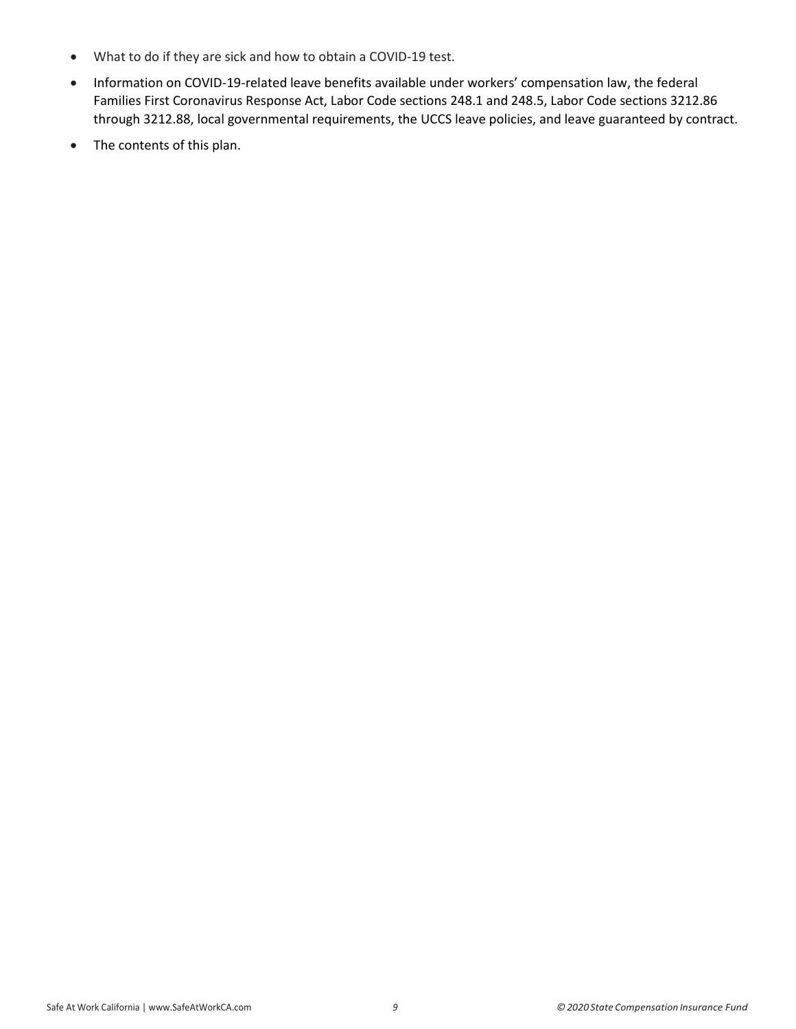- What to do if they are sick and how to obtain a COVID-19 test.
- Information on COVID-19-related leave benefits available under workers' compensation law, the federal Families First Coronavirus Response Act, Labor Code sections 248.1 and 248.5, Labor Code sections 3212.86 through 3212.88, local governmental requirements, the UCCS leave policies, and leave guaranteed by contract.
- The contents of this plan.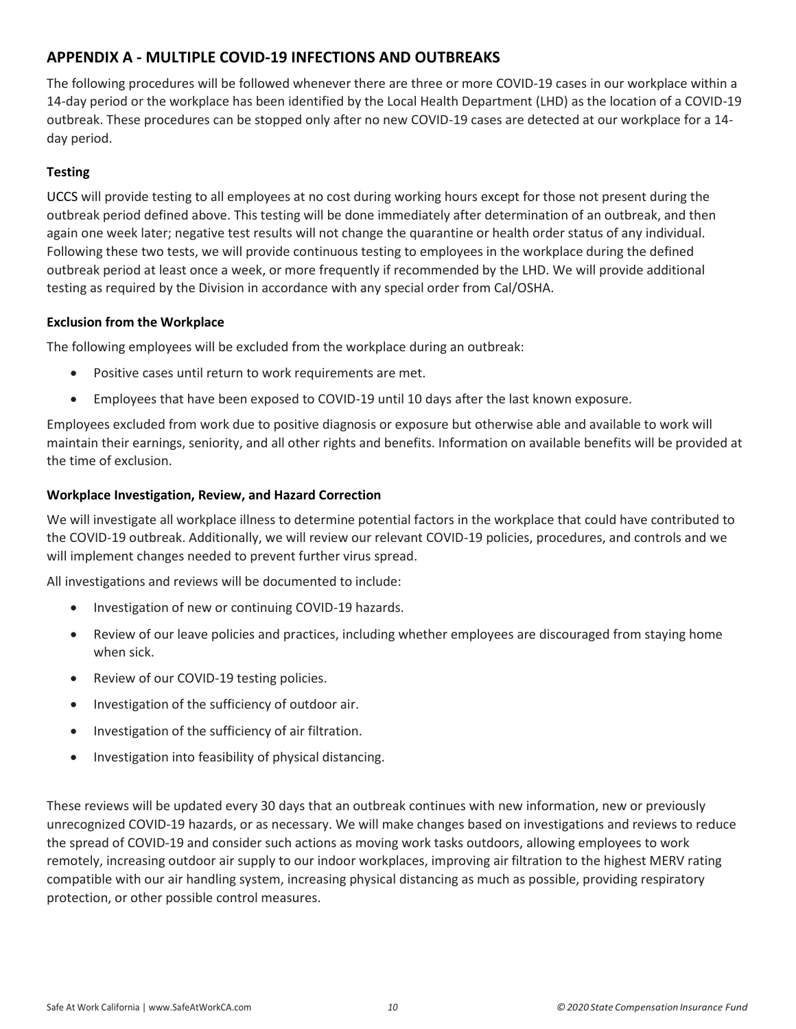# <span id="page-10-0"></span>**APPENDIX A - MULTIPLE COVID-19 INFECTIONS AND OUTBREAKS**

The following procedures will be followed whenever there are three or more COVID-19 cases in our workplace within a 14-day period or the workplace has been identified by the Local Health Department (LHD) as the location of a COVID-19 outbreak. These procedures can be stopped only after no new COVID-19 cases are detected at our workplace for a 14 day period.

## **Testing**

UCCS will provide testing to all employees at no cost during working hours except for those not present during the outbreak period defined above. This testing will be done immediately after determination of an outbreak, and then again one week later; negative test results will not change the quarantine or health order status of any individual. Following these two tests, we will provide continuous testing to employees in the workplace during the defined outbreak period at least once a week, or more frequently if recommended by the LHD. We will provide additional testing as required by the Division in accordance with any special order from Cal/OSHA.

#### **Exclusion from the Workplace**

The following employees will be excluded from the workplace during an outbreak:

- Positive cases until return to work requirements are met.
- Employees that have been exposed to COVID-19 until 10 days after the last known exposure.

Employees excluded from work due to positive diagnosis or exposure but otherwise able and available to work will maintain their earnings, seniority, and all other rights and benefits. Information on available benefits will be provided at the time of exclusion.

### **Workplace Investigation, Review, and Hazard Correction**

We will investigate all workplace illness to determine potential factors in the workplace that could have contributed to the COVID-19 outbreak. Additionally, we will review our relevant COVID-19 policies, procedures, and controls and we will implement changes needed to prevent further virus spread.

All investigations and reviews will be documented to include:

- Investigation of new or continuing COVID-19 hazards.
- Review of our leave policies and practices, including whether employees are discouraged from staying home when sick.
- Review of our COVID-19 testing policies.
- Investigation of the sufficiency of outdoor air.
- Investigation of the sufficiency of air filtration.
- Investigation into feasibility of physical distancing.

These reviews will be updated every 30 days that an outbreak continues with new information, new or previously unrecognized COVID-19 hazards, or as necessary. We will make changes based on investigations and reviews to reduce the spread of COVID-19 and consider such actions as moving work tasks outdoors, allowing employees to work remotely, increasing outdoor air supply to our indoor workplaces, improving air filtration to the highest MERV rating compatible with our air handling system, increasing physical distancing as much as possible, providing respiratory protection, or other possible control measures.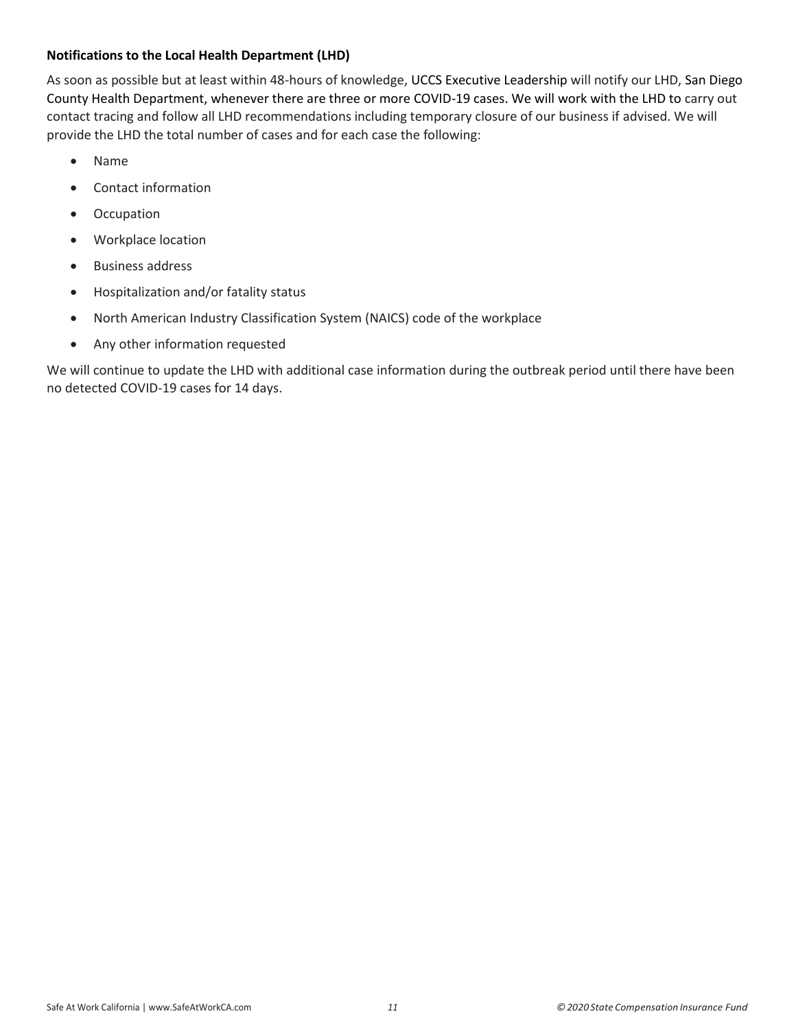#### **Notifications to the Local Health Department (LHD)**

As soon as possible but at least within 48-hours of knowledge, UCCS Executive Leadership will notify our LHD, San Diego County Health Department, whenever there are three or more COVID-19 cases. We will work with the LHD to carry out contact tracing and follow all LHD recommendations including temporary closure of our business if advised. We will provide the LHD the total number of cases and for each case the following:

- Name
- Contact information
- Occupation
- Workplace location
- Business address
- Hospitalization and/or fatality status
- North American Industry Classification System (NAICS) code of the workplace
- Any other information requested

We will continue to update the LHD with additional case information during the outbreak period until there have been no detected COVID-19 cases for 14 days.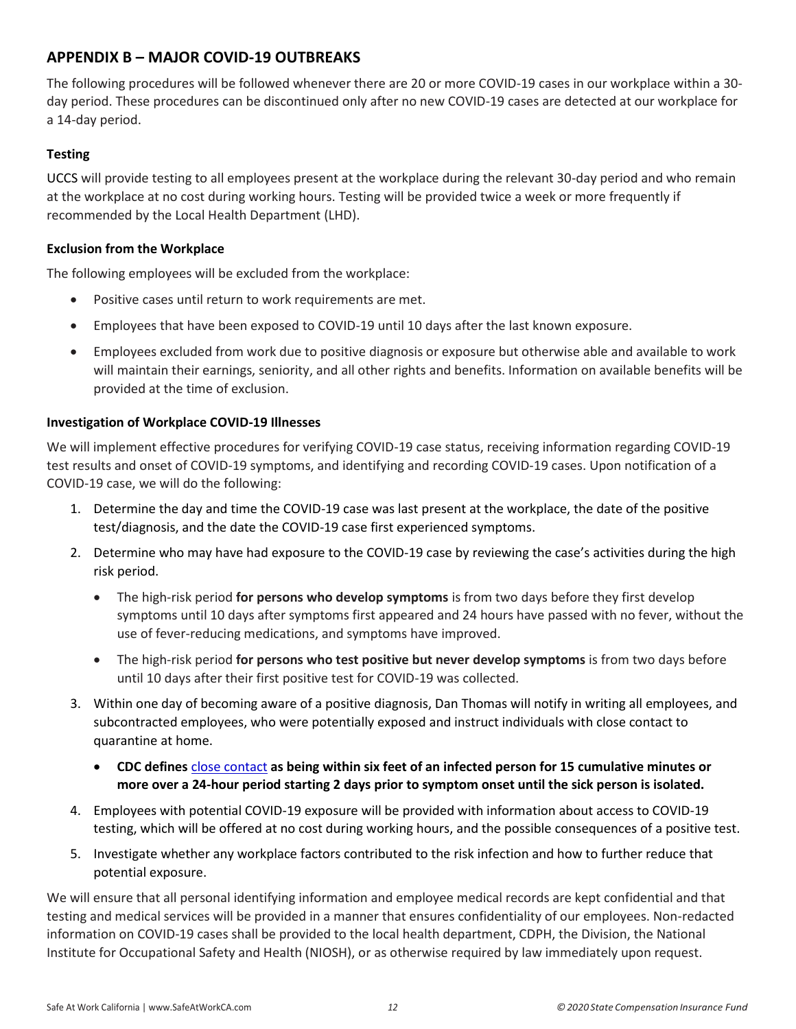# <span id="page-12-0"></span>**APPENDIX B – MAJOR COVID-19 OUTBREAKS**

The following procedures will be followed whenever there are 20 or more COVID-19 cases in our workplace within a 30 day period. These procedures can be discontinued only after no new COVID-19 cases are detected at our workplace for a 14-day period.

### **Testing**

UCCS will provide testing to all employees present at the workplace during the relevant 30-day period and who remain at the workplace at no cost during working hours. Testing will be provided twice a week or more frequently if recommended by the Local Health Department (LHD).

#### **Exclusion from the Workplace**

The following employees will be excluded from the workplace:

- Positive cases until return to work requirements are met.
- Employees that have been exposed to COVID-19 until 10 days after the last known exposure.
- Employees excluded from work due to positive diagnosis or exposure but otherwise able and available to work will maintain their earnings, seniority, and all other rights and benefits. Information on available benefits will be provided at the time of exclusion.

### **Investigation of Workplace COVID-19 Illnesses**

We will implement effective procedures for verifying COVID-19 case status, receiving information regarding COVID-19 test results and onset of COVID-19 symptoms, and identifying and recording COVID-19 cases. Upon notification of a COVID-19 case, we will do the following:

- 1. Determine the day and time the COVID-19 case was last present at the workplace, the date of the positive test/diagnosis, and the date the COVID-19 case first experienced symptoms.
- 2. Determine who may have had exposure to the COVID-19 case by reviewing the case's activities during the high risk period.
	- The high-risk period **for persons who develop symptoms** is from two days before they first develop symptoms until 10 days after symptoms first appeared and 24 hours have passed with no fever, without the use of fever-reducing medications, and symptoms have improved.
	- The high-risk period **for persons who test positive but never develop symptoms** is from two days before until 10 days after their first positive test for COVID-19 was collected.
- 3. Within one day of becoming aware of a positive diagnosis, Dan Thomas will notify in writing all employees, and subcontracted employees, who were potentially exposed and instruct individuals with close contact to quarantine at home.
	- **CDC defines** [close contact](https://www.cdc.gov/coronavirus/2019-ncov/php/contact-tracing/contact-tracing-plan/appendix.html#contact) **as being within six feet of an infected person for 15 cumulative minutes or more over a 24-hour period starting 2 days prior to symptom onset until the sick person is isolated.**
- 4. Employees with potential COVID-19 exposure will be provided with information about access to COVID-19 testing, which will be offered at no cost during working hours, and the possible consequences of a positive test.
- 5. Investigate whether any workplace factors contributed to the risk infection and how to further reduce that potential exposure.

We will ensure that all personal identifying information and employee medical records are kept confidential and that testing and medical services will be provided in a manner that ensures confidentiality of our employees. Non-redacted information on COVID-19 cases shall be provided to the local health department, CDPH, the Division, the National Institute for Occupational Safety and Health (NIOSH), or as otherwise required by law immediately upon request.